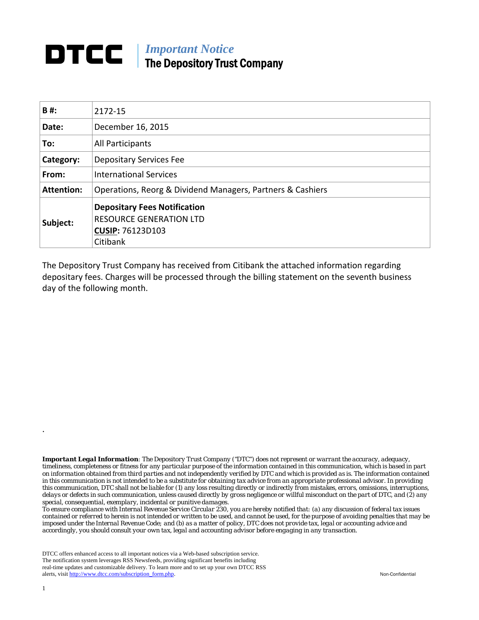## *Important Notice*  The Depository Trust Company

| B#:               | 2172-15                                                                                                      |  |  |  |  |
|-------------------|--------------------------------------------------------------------------------------------------------------|--|--|--|--|
| Date:             | December 16, 2015                                                                                            |  |  |  |  |
| To:               | All Participants                                                                                             |  |  |  |  |
| Category:         | <b>Depositary Services Fee</b>                                                                               |  |  |  |  |
| From:             | <b>International Services</b>                                                                                |  |  |  |  |
| <b>Attention:</b> | Operations, Reorg & Dividend Managers, Partners & Cashiers                                                   |  |  |  |  |
| Subject:          | <b>Depositary Fees Notification</b><br><b>RESOURCE GENERATION LTD</b><br><b>CUSIP: 76123D103</b><br>Citibank |  |  |  |  |

The Depository Trust Company has received from Citibank the attached information regarding depositary fees. Charges will be processed through the billing statement on the seventh business day of the following month.

*Important Legal Information: The Depository Trust Company ("DTC") does not represent or warrant the accuracy, adequacy, timeliness, completeness or fitness for any particular purpose of the information contained in this communication, which is based in part on information obtained from third parties and not independently verified by DTC and which is provided as is. The information contained in this communication is not intended to be a substitute for obtaining tax advice from an appropriate professional advisor. In providing this communication, DTC shall not be liable for (1) any loss resulting directly or indirectly from mistakes, errors, omissions, interruptions, delays or defects in such communication, unless caused directly by gross negligence or willful misconduct on the part of DTC, and (2) any special, consequential, exemplary, incidental or punitive damages.* 

*To ensure compliance with Internal Revenue Service Circular 230, you are hereby notified that: (a) any discussion of federal tax issues contained or referred to herein is not intended or written to be used, and cannot be used, for the purpose of avoiding penalties that may be imposed under the Internal Revenue Code; and (b) as a matter of policy, DTC does not provide tax, legal or accounting advice and accordingly, you should consult your own tax, legal and accounting advisor before engaging in any transaction.*

DTCC offers enhanced access to all important notices via a Web-based subscription service. The notification system leverages RSS Newsfeeds, providing significant benefits including real-time updates and customizable delivery. To learn more and to set up your own DTCC RSS alerts, visit http://www.dtcc.com/subscription\_form.php. Non-Confidential

.